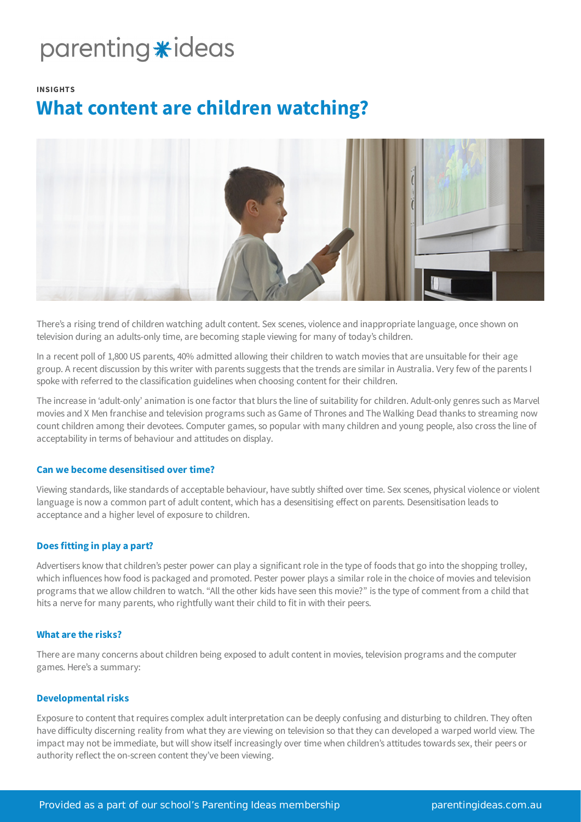# parenting \*ideas

#### **INSIGHTS**

# **What content are children watching?**



There's a rising trend of children watching adult content. Sex scenes, violence and inappropriate language, once shown on television during an adults-only time, are becoming staple viewing for many of today's children.

In a recent poll of 1,800 US parents, 40% admitted allowing their children to watch movies that are unsuitable for their age group. A recent discussion by this writer with parents suggests that the trends are similar in Australia. Very few of the parents I spoke with referred to the classification guidelines when choosing content for their children.

The increase in 'adult-only' animation is one factor that blurs the line of suitability for children. Adult-only genres such as Marvel movies and X Men franchise and television programs such as Game of Thrones and The Walking Dead thanks to streaming now count children among their devotees. Computer games, so popular with many children and young people, also cross the line of acceptability in terms of behaviour and attitudes on display.

# **Can we become desensitised over time?**

Viewing standards, like standards of acceptable behaviour, have subtly shifted over time. Sex scenes, physical violence or violent language is now a common part of adult content, which has a desensitising effect on parents. Desensitisation leads to acceptance and a higher level of exposure to children.

# **Does fitting in play a part?**

Advertisers know that children's pester power can play a significant role in the type of foods that go into the shopping trolley, which influences how food is packaged and promoted. Pester power plays a similar role in the choice of movies and television programs that we allow children to watch. "All the other kids have seen this movie?" is the type of comment from a child that hits a nerve for many parents, who rightfully want their child to fit in with their peers.

#### **What are the risks?**

There are many concerns about children being exposed to adult content in movies, television programs and the computer games. Here's a summary:

#### **Developmental risks**

Exposure to content that requires complex adult interpretation can be deeply confusing and disturbing to children. They often have difficulty discerning reality from what they are viewing on television so that they can developed a warped world view. The impact may not be immediate, but will show itself increasingly over time when children's attitudes towards sex, their peers or authority reflect the on-screen content they've been viewing.